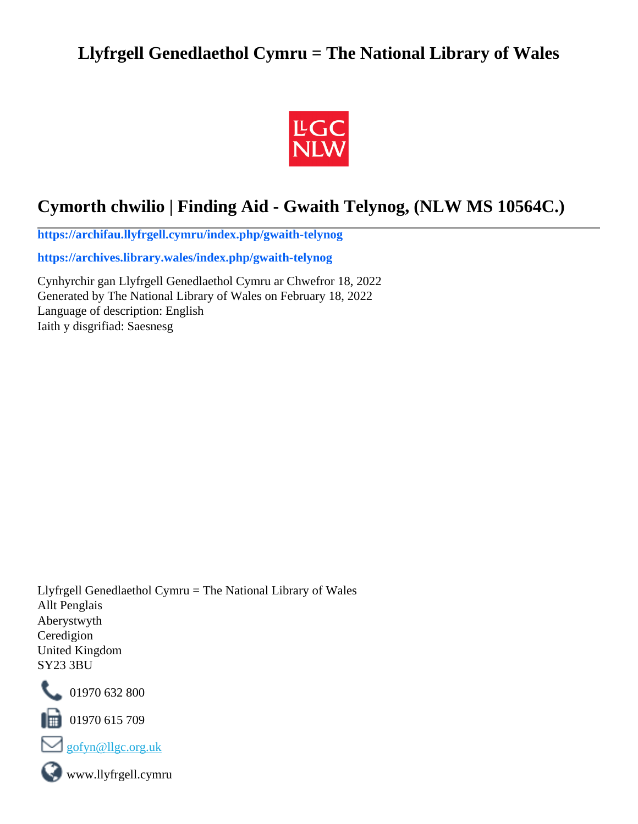# **Llyfrgell Genedlaethol Cymru = The National Library of Wales**



# **Cymorth chwilio | Finding Aid - Gwaith Telynog, (NLW MS 10564C.)**

**[https://archifau.llyfrgell.cymru/index.php/gwaith-telynog](https://archifau.llyfrgell.cymru/index.php/gwaith-telynog;isad?sf_culture=cy)**

**[https://archives.library.wales/index.php/gwaith-telynog](https://archives.library.wales/index.php/gwaith-telynog;isad?sf_culture=en)**

Cynhyrchir gan Llyfrgell Genedlaethol Cymru ar Chwefror 18, 2022 Generated by The National Library of Wales on February 18, 2022 Language of description: English Iaith y disgrifiad: Saesnesg

Llyfrgell Genedlaethol Cymru = The National Library of Wales Allt Penglais Aberystwyth Ceredigion United Kingdom SY23 3BU



101970 632 800

 $\Box$  01970 615 709



www.llyfrgell.cymru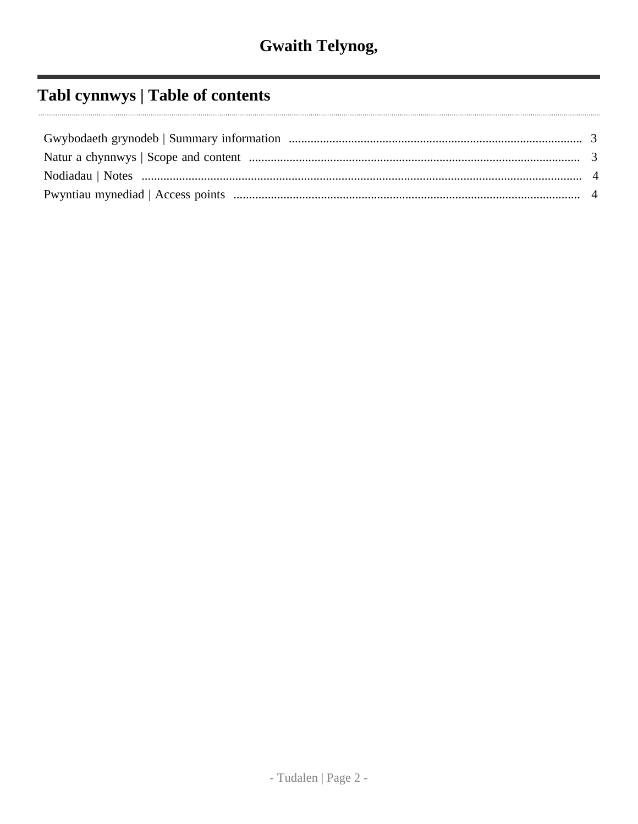# Tabl cynnwys | Table of contents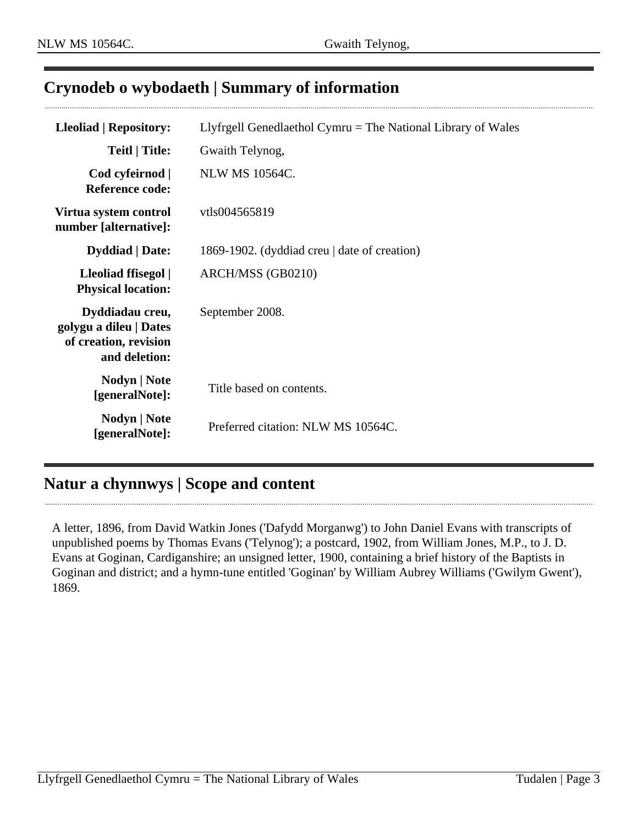## <span id="page-2-0"></span>**Crynodeb o wybodaeth | Summary of information**

| <b>Lleoliad   Repository:</b>                                                       | Llyfrgell Genedlaethol Cymru $=$ The National Library of Wales |
|-------------------------------------------------------------------------------------|----------------------------------------------------------------|
| Teitl   Title:                                                                      | Gwaith Telynog,                                                |
| Cod cyfeirnod  <br><b>Reference code:</b>                                           | <b>NLW MS 10564C.</b>                                          |
| Virtua system control<br>number [alternative]:                                      | vtls004565819                                                  |
| <b>Dyddiad</b>   Date:                                                              | 1869-1902. (dyddiad creu   date of creation)                   |
| Lleoliad ffisegol  <br><b>Physical location:</b>                                    | ARCH/MSS (GB0210)                                              |
| Dyddiadau creu,<br>golygu a dileu   Dates<br>of creation, revision<br>and deletion: | September 2008.                                                |
| Nodyn   Note<br>[generalNote]:                                                      | Title based on contents.                                       |
| Nodyn   Note<br>[generalNote]:                                                      | Preferred citation: NLW MS 10564C.                             |

## <span id="page-2-1"></span>**Natur a chynnwys | Scope and content**

A letter, 1896, from David Watkin Jones ('Dafydd Morganwg') to John Daniel Evans with transcripts of unpublished poems by Thomas Evans ('Telynog'); a postcard, 1902, from William Jones, M.P., to J. D. Evans at Goginan, Cardiganshire; an unsigned letter, 1900, containing a brief history of the Baptists in Goginan and district; and a hymn-tune entitled 'Goginan' by William Aubrey Williams ('Gwilym Gwent'), 1869.